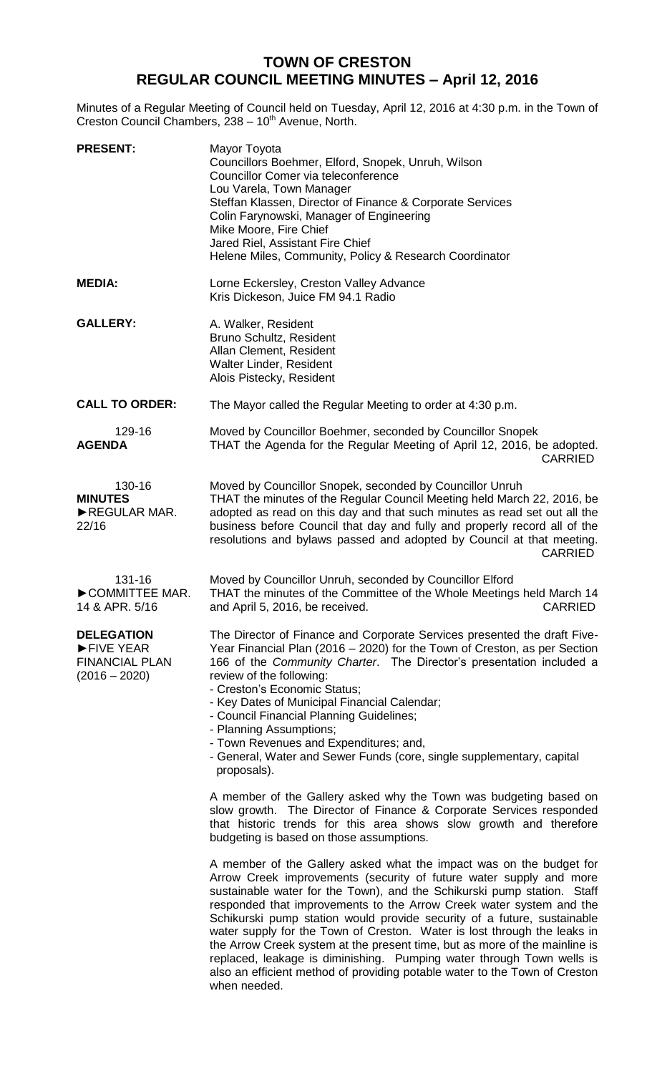## **TOWN OF CRESTON REGULAR COUNCIL MEETING MINUTES – April 12, 2016**

Minutes of a Regular Meeting of Council held on Tuesday, April 12, 2016 at 4:30 p.m. in the Town of Creston Council Chambers, 238 - 10<sup>th</sup> Avenue, North.

| <b>PRESENT:</b>                                                            | Mayor Toyota<br>Councillors Boehmer, Elford, Snopek, Unruh, Wilson<br>Councillor Comer via teleconference<br>Lou Varela, Town Manager<br>Steffan Klassen, Director of Finance & Corporate Services<br>Colin Farynowski, Manager of Engineering<br>Mike Moore, Fire Chief<br>Jared Riel, Assistant Fire Chief<br>Helene Miles, Community, Policy & Research Coordinator                                                                                                                                                                                                                                                                                                                                  |
|----------------------------------------------------------------------------|---------------------------------------------------------------------------------------------------------------------------------------------------------------------------------------------------------------------------------------------------------------------------------------------------------------------------------------------------------------------------------------------------------------------------------------------------------------------------------------------------------------------------------------------------------------------------------------------------------------------------------------------------------------------------------------------------------|
| <b>MEDIA:</b>                                                              | Lorne Eckersley, Creston Valley Advance<br>Kris Dickeson, Juice FM 94.1 Radio                                                                                                                                                                                                                                                                                                                                                                                                                                                                                                                                                                                                                           |
| <b>GALLERY:</b>                                                            | A. Walker, Resident<br>Bruno Schultz, Resident<br>Allan Clement, Resident<br>Walter Linder, Resident<br>Alois Pistecky, Resident                                                                                                                                                                                                                                                                                                                                                                                                                                                                                                                                                                        |
| <b>CALL TO ORDER:</b>                                                      | The Mayor called the Regular Meeting to order at 4:30 p.m.                                                                                                                                                                                                                                                                                                                                                                                                                                                                                                                                                                                                                                              |
| 129-16<br><b>AGENDA</b>                                                    | Moved by Councillor Boehmer, seconded by Councillor Snopek<br>THAT the Agenda for the Regular Meeting of April 12, 2016, be adopted.<br><b>CARRIED</b>                                                                                                                                                                                                                                                                                                                                                                                                                                                                                                                                                  |
| 130-16<br><b>MINUTES</b><br>REGULAR MAR.<br>22/16                          | Moved by Councillor Snopek, seconded by Councillor Unruh<br>THAT the minutes of the Regular Council Meeting held March 22, 2016, be<br>adopted as read on this day and that such minutes as read set out all the<br>business before Council that day and fully and properly record all of the<br>resolutions and bylaws passed and adopted by Council at that meeting.<br><b>CARRIED</b>                                                                                                                                                                                                                                                                                                                |
| 131-16<br>COMMITTEE MAR.<br>14 & APR. 5/16                                 | Moved by Councillor Unruh, seconded by Councillor Elford<br>THAT the minutes of the Committee of the Whole Meetings held March 14<br><b>CARRIED</b><br>and April 5, 2016, be received.                                                                                                                                                                                                                                                                                                                                                                                                                                                                                                                  |
| <b>DELEGATION</b><br>FIVE YEAR<br><b>FINANCIAL PLAN</b><br>$(2016 - 2020)$ | The Director of Finance and Corporate Services presented the draft Five-<br>Year Financial Plan (2016 – 2020) for the Town of Creston, as per Section<br>166 of the Community Charter. The Director's presentation included a<br>review of the following:<br>- Creston's Economic Status;<br>- Key Dates of Municipal Financial Calendar;<br>- Council Financial Planning Guidelines;<br>- Planning Assumptions;<br>- Town Revenues and Expenditures; and,<br>- General, Water and Sewer Funds (core, single supplementary, capital<br>proposals).                                                                                                                                                      |
|                                                                            | A member of the Gallery asked why the Town was budgeting based on<br>slow growth. The Director of Finance & Corporate Services responded<br>that historic trends for this area shows slow growth and therefore<br>budgeting is based on those assumptions.                                                                                                                                                                                                                                                                                                                                                                                                                                              |
|                                                                            | A member of the Gallery asked what the impact was on the budget for<br>Arrow Creek improvements (security of future water supply and more<br>sustainable water for the Town), and the Schikurski pump station. Staff<br>responded that improvements to the Arrow Creek water system and the<br>Schikurski pump station would provide security of a future, sustainable<br>water supply for the Town of Creston. Water is lost through the leaks in<br>the Arrow Creek system at the present time, but as more of the mainline is<br>replaced, leakage is diminishing. Pumping water through Town wells is<br>also an efficient method of providing potable water to the Town of Creston<br>when needed. |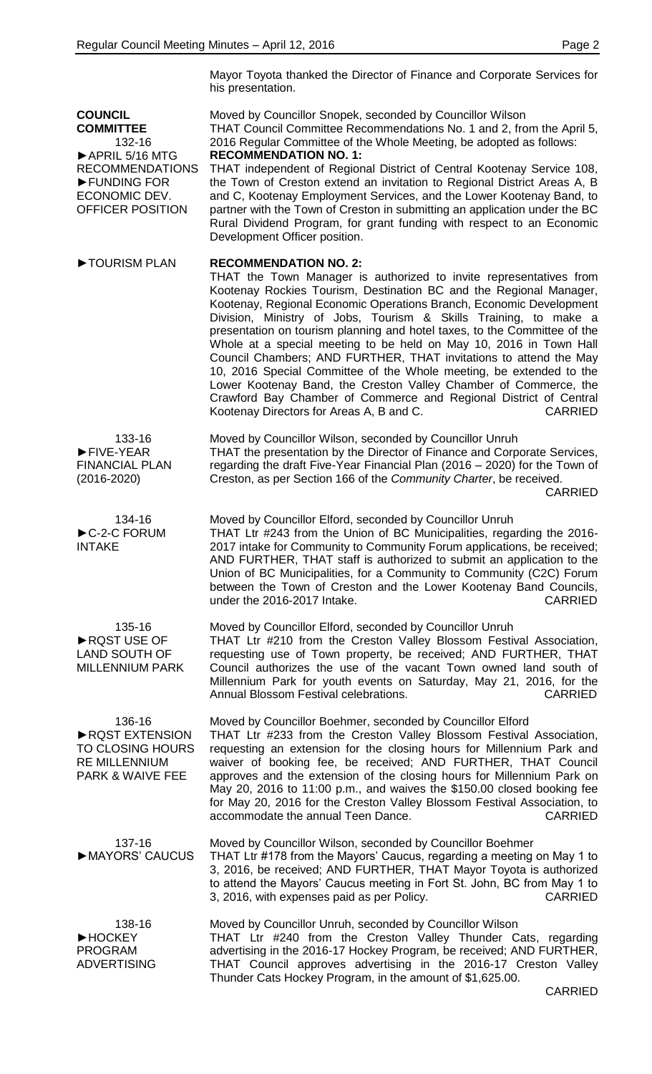Mayor Toyota thanked the Director of Finance and Corporate Services for his presentation.

**COUNCIL COMMITTEE** 132-16 ►APRIL 5/16 MTG RECOMMENDATIONS ►FUNDING FOR ECONOMIC DEV. OFFICER POSITION Moved by Councillor Snopek, seconded by Councillor Wilson THAT Council Committee Recommendations No. 1 and 2, from the April 5, 2016 Regular Committee of the Whole Meeting, be adopted as follows: **RECOMMENDATION NO. 1:** THAT independent of Regional District of Central Kootenay Service 108, the Town of Creston extend an invitation to Regional District Areas A, B and C, Kootenay Employment Services, and the Lower Kootenay Band, to partner with the Town of Creston in submitting an application under the BC Rural Dividend Program, for grant funding with respect to an Economic Development Officer position. **►**TOURISM PLAN **RECOMMENDATION NO. 2:** THAT the Town Manager is authorized to invite representatives from Kootenay Rockies Tourism, Destination BC and the Regional Manager, Kootenay, Regional Economic Operations Branch, Economic Development Division, Ministry of Jobs, Tourism & Skills Training, to make a presentation on tourism planning and hotel taxes, to the Committee of the Whole at a special meeting to be held on May 10, 2016 in Town Hall Council Chambers; AND FURTHER, THAT invitations to attend the May 10, 2016 Special Committee of the Whole meeting, be extended to the Lower Kootenay Band, the Creston Valley Chamber of Commerce, the Crawford Bay Chamber of Commerce and Regional District of Central Kootenay Directors for Areas A, B and C. CARRIED 133-16 ►FIVE-YEAR FINANCIAL PLAN (2016-2020) Moved by Councillor Wilson, seconded by Councillor Unruh THAT the presentation by the Director of Finance and Corporate Services, regarding the draft Five-Year Financial Plan (2016 – 2020) for the Town of Creston, as per Section 166 of the *Community Charter*, be received. CARRIED 134-16 ►C-2-C FORUM INTAKE Moved by Councillor Elford, seconded by Councillor Unruh THAT Ltr #243 from the Union of BC Municipalities, regarding the 2016- 2017 intake for Community to Community Forum applications, be received; AND FURTHER, THAT staff is authorized to submit an application to the Union of BC Municipalities, for a Community to Community (C2C) Forum between the Town of Creston and the Lower Kootenay Band Councils, under the 2016-2017 Intake. CARRIED 135-16 ►RQST USE OF LAND SOUTH OF MILLENNIUM PARK Moved by Councillor Elford, seconded by Councillor Unruh THAT Ltr #210 from the Creston Valley Blossom Festival Association, requesting use of Town property, be received; AND FURTHER, THAT Council authorizes the use of the vacant Town owned land south of Millennium Park for youth events on Saturday, May 21, 2016, for the Annual Blossom Festival celebrations. CARRIED 136-16 ►RQST EXTENSION TO CLOSING HOURS RE MILLENNIUM PARK & WAIVE FEE Moved by Councillor Boehmer, seconded by Councillor Elford THAT Ltr #233 from the Creston Valley Blossom Festival Association, requesting an extension for the closing hours for Millennium Park and waiver of booking fee, be received; AND FURTHER, THAT Council approves and the extension of the closing hours for Millennium Park on May 20, 2016 to 11:00 p.m., and waives the \$150.00 closed booking fee for May 20, 2016 for the Creston Valley Blossom Festival Association, to accommodate the annual Teen Dance. CARRIED 137-16 ►MAYORS' CAUCUS Moved by Councillor Wilson, seconded by Councillor Boehmer THAT Ltr #178 from the Mayors' Caucus, regarding a meeting on May 1 to 3, 2016, be received; AND FURTHER, THAT Mayor Toyota is authorized to attend the Mayors' Caucus meeting in Fort St. John, BC from May 1 to 3, 2016, with expenses paid as per Policy. CARRIED 138-16 ►HOCKEY PROGRAM ADVERTISING Moved by Councillor Unruh, seconded by Councillor Wilson THAT Ltr #240 from the Creston Valley Thunder Cats, regarding advertising in the 2016-17 Hockey Program, be received; AND FURTHER, THAT Council approves advertising in the 2016-17 Creston Valley Thunder Cats Hockey Program, in the amount of \$1,625.00.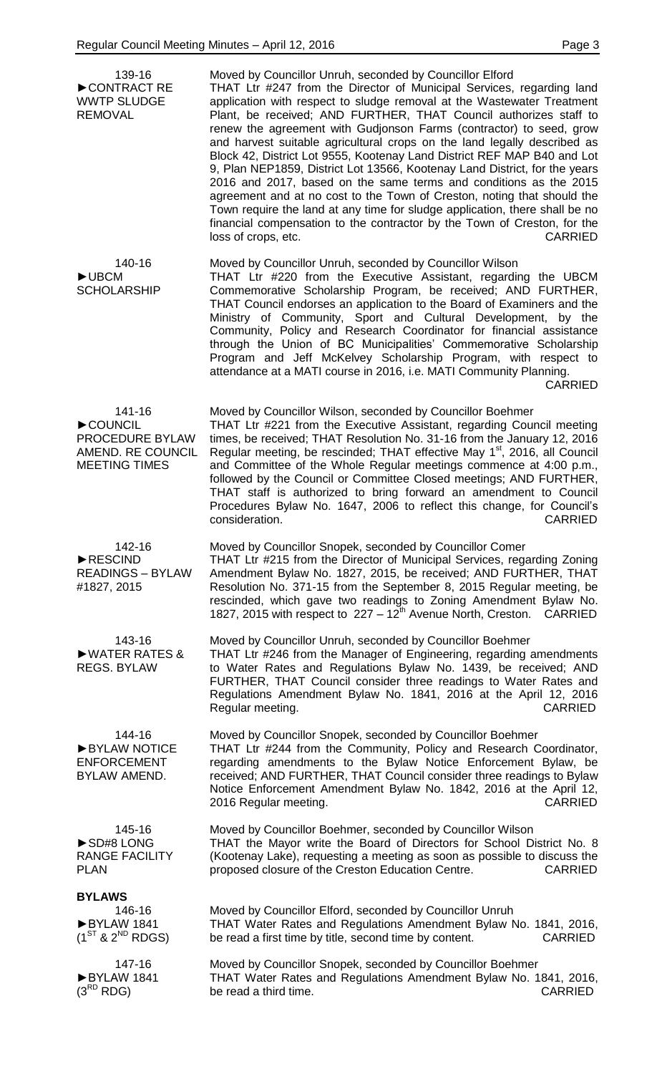| 139-16<br>CONTRACT RE<br><b>WWTP SLUDGE</b><br><b>REMOVAL</b>                     | Moved by Councillor Unruh, seconded by Councillor Elford<br>THAT Ltr #247 from the Director of Municipal Services, regarding land<br>application with respect to sludge removal at the Wastewater Treatment<br>Plant, be received; AND FURTHER, THAT Council authorizes staff to<br>renew the agreement with Gudjonson Farms (contractor) to seed, grow<br>and harvest suitable agricultural crops on the land legally described as<br>Block 42, District Lot 9555, Kootenay Land District REF MAP B40 and Lot<br>9, Plan NEP1859, District Lot 13566, Kootenay Land District, for the years<br>2016 and 2017, based on the same terms and conditions as the 2015<br>agreement and at no cost to the Town of Creston, noting that should the<br>Town require the land at any time for sludge application, there shall be no<br>financial compensation to the contractor by the Town of Creston, for the<br><b>CARRIED</b><br>loss of crops, etc. |
|-----------------------------------------------------------------------------------|--------------------------------------------------------------------------------------------------------------------------------------------------------------------------------------------------------------------------------------------------------------------------------------------------------------------------------------------------------------------------------------------------------------------------------------------------------------------------------------------------------------------------------------------------------------------------------------------------------------------------------------------------------------------------------------------------------------------------------------------------------------------------------------------------------------------------------------------------------------------------------------------------------------------------------------------------|
| 140-16<br>$\blacktriangleright$ UBCM<br><b>SCHOLARSHIP</b>                        | Moved by Councillor Unruh, seconded by Councillor Wilson<br>THAT Ltr #220 from the Executive Assistant, regarding the UBCM<br>Commemorative Scholarship Program, be received; AND FURTHER,<br>THAT Council endorses an application to the Board of Examiners and the<br>Ministry of Community, Sport and Cultural Development, by the<br>Community, Policy and Research Coordinator for financial assistance<br>through the Union of BC Municipalities' Commemorative Scholarship<br>Program and Jeff McKelvey Scholarship Program, with respect to<br>attendance at a MATI course in 2016, i.e. MATI Community Planning.<br><b>CARRIED</b>                                                                                                                                                                                                                                                                                                      |
| 141-16<br>COUNCIL<br>PROCEDURE BYLAW<br>AMEND. RE COUNCIL<br><b>MEETING TIMES</b> | Moved by Councillor Wilson, seconded by Councillor Boehmer<br>THAT Ltr #221 from the Executive Assistant, regarding Council meeting<br>times, be received; THAT Resolution No. 31-16 from the January 12, 2016<br>Regular meeting, be rescinded; THAT effective May 1 <sup>st</sup> , 2016, all Council<br>and Committee of the Whole Regular meetings commence at 4:00 p.m.,<br>followed by the Council or Committee Closed meetings; AND FURTHER,<br>THAT staff is authorized to bring forward an amendment to Council<br>Procedures Bylaw No. 1647, 2006 to reflect this change, for Council's<br>consideration.<br><b>CARRIED</b>                                                                                                                                                                                                                                                                                                            |
| 142-16<br>RESCIND<br><b>READINGS - BYLAW</b><br>#1827, 2015                       | Moved by Councillor Snopek, seconded by Councillor Comer<br>THAT Ltr #215 from the Director of Municipal Services, regarding Zoning<br>Amendment Bylaw No. 1827, 2015, be received; AND FURTHER, THAT<br>Resolution No. 371-15 from the September 8, 2015 Regular meeting, be<br>rescinded, which gave two readings to Zoning Amendment Bylaw No.<br>1827, 2015 with respect to $227 - 12th$ Avenue North, Creston.<br>CARRIED                                                                                                                                                                                                                                                                                                                                                                                                                                                                                                                   |
| 143-16<br>WATER RATES &<br><b>REGS. BYLAW</b>                                     | Moved by Councillor Unruh, seconded by Councillor Boehmer<br>THAT Ltr #246 from the Manager of Engineering, regarding amendments<br>to Water Rates and Regulations Bylaw No. 1439, be received; AND<br>FURTHER, THAT Council consider three readings to Water Rates and<br>Regulations Amendment Bylaw No. 1841, 2016 at the April 12, 2016<br>CARRIED<br>Regular meeting.                                                                                                                                                                                                                                                                                                                                                                                                                                                                                                                                                                       |
| 144-16<br>BYLAW NOTICE<br><b>ENFORCEMENT</b><br><b>BYLAW AMEND.</b>               | Moved by Councillor Snopek, seconded by Councillor Boehmer<br>THAT Ltr #244 from the Community, Policy and Research Coordinator,<br>regarding amendments to the Bylaw Notice Enforcement Bylaw, be<br>received; AND FURTHER, THAT Council consider three readings to Bylaw<br>Notice Enforcement Amendment Bylaw No. 1842, 2016 at the April 12,<br>2016 Regular meeting.<br><b>CARRIED</b>                                                                                                                                                                                                                                                                                                                                                                                                                                                                                                                                                      |
| 145-16<br>SD#8 LONG<br><b>RANGE FACILITY</b><br><b>PLAN</b>                       | Moved by Councillor Boehmer, seconded by Councillor Wilson<br>THAT the Mayor write the Board of Directors for School District No. 8<br>(Kootenay Lake), requesting a meeting as soon as possible to discuss the<br>proposed closure of the Creston Education Centre.<br><b>CARRIED</b>                                                                                                                                                                                                                                                                                                                                                                                                                                                                                                                                                                                                                                                           |
| <b>BYLAWS</b><br>146-16<br>BYLAW 1841<br>$(1^{ST}$ & $2^{ND}$ RDGS)               | Moved by Councillor Elford, seconded by Councillor Unruh<br>THAT Water Rates and Regulations Amendment Bylaw No. 1841, 2016,<br>be read a first time by title, second time by content.<br><b>CARRIED</b>                                                                                                                                                                                                                                                                                                                                                                                                                                                                                                                                                                                                                                                                                                                                         |
| 147-16<br>BYLAW 1841<br>$(3^{RD}$ RDG)                                            | Moved by Councillor Snopek, seconded by Councillor Boehmer<br>THAT Water Rates and Regulations Amendment Bylaw No. 1841, 2016,<br>be read a third time.<br><b>CARRIED</b>                                                                                                                                                                                                                                                                                                                                                                                                                                                                                                                                                                                                                                                                                                                                                                        |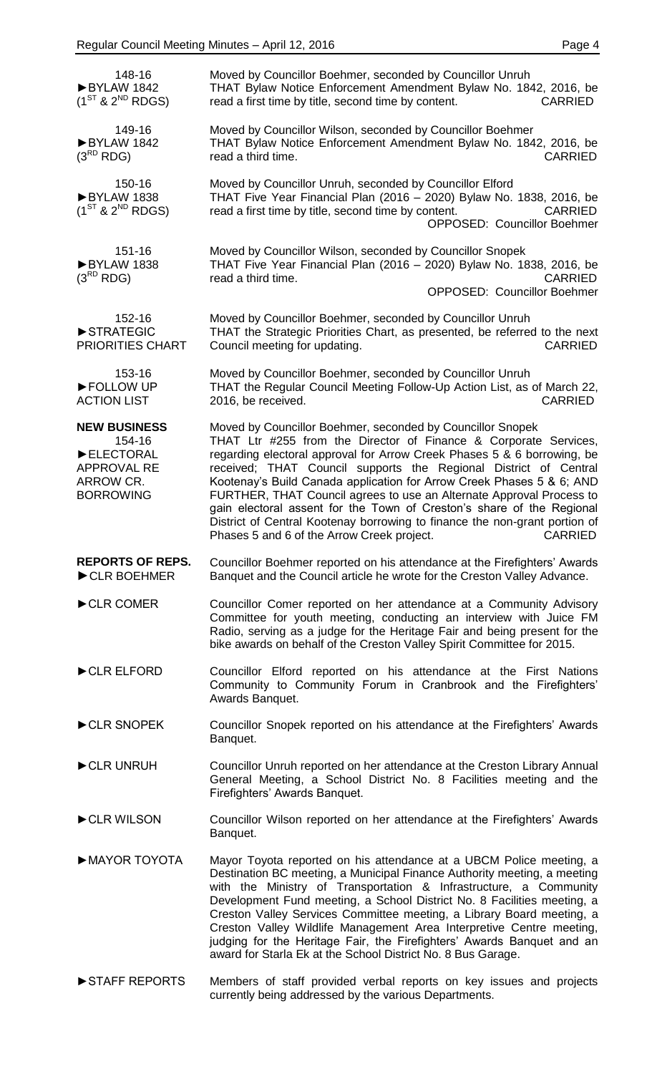| 148-16<br>BYLAW 1842<br>$(1^{ST}$ & $2^{ND}$ RDGS)                                                | Moved by Councillor Boehmer, seconded by Councillor Unruh<br>THAT Bylaw Notice Enforcement Amendment Bylaw No. 1842, 2016, be<br>read a first time by title, second time by content.<br><b>CARRIED</b>                                                                                                                                                                                                                                                                                                                                                                                                                                                |
|---------------------------------------------------------------------------------------------------|-------------------------------------------------------------------------------------------------------------------------------------------------------------------------------------------------------------------------------------------------------------------------------------------------------------------------------------------------------------------------------------------------------------------------------------------------------------------------------------------------------------------------------------------------------------------------------------------------------------------------------------------------------|
| 149-16<br>BYLAW 1842<br>$(3^{RD}$ RDG)                                                            | Moved by Councillor Wilson, seconded by Councillor Boehmer<br>THAT Bylaw Notice Enforcement Amendment Bylaw No. 1842, 2016, be<br>read a third time.<br><b>CARRIED</b>                                                                                                                                                                                                                                                                                                                                                                                                                                                                                |
| 150-16<br>BYLAW 1838<br>$(1^{ST}$ & $2^{ND}$ RDGS)                                                | Moved by Councillor Unruh, seconded by Councillor Elford<br>THAT Five Year Financial Plan (2016 - 2020) Bylaw No. 1838, 2016, be<br>read a first time by title, second time by content.<br><b>CARRIED</b><br><b>OPPOSED: Councillor Boehmer</b>                                                                                                                                                                                                                                                                                                                                                                                                       |
| 151-16<br>BYLAW 1838<br>$(3^{RD}$ RDG)                                                            | Moved by Councillor Wilson, seconded by Councillor Snopek<br>THAT Five Year Financial Plan (2016 - 2020) Bylaw No. 1838, 2016, be<br><b>CARRIED</b><br>read a third time.<br><b>OPPOSED: Councillor Boehmer</b>                                                                                                                                                                                                                                                                                                                                                                                                                                       |
| 152-16<br>STRATEGIC<br>PRIORITIES CHART                                                           | Moved by Councillor Boehmer, seconded by Councillor Unruh<br>THAT the Strategic Priorities Chart, as presented, be referred to the next<br>Council meeting for updating.<br><b>CARRIED</b>                                                                                                                                                                                                                                                                                                                                                                                                                                                            |
| 153-16<br>FOLLOW UP<br><b>ACTION LIST</b>                                                         | Moved by Councillor Boehmer, seconded by Councillor Unruh<br>THAT the Regular Council Meeting Follow-Up Action List, as of March 22,<br><b>CARRIED</b><br>2016, be received.                                                                                                                                                                                                                                                                                                                                                                                                                                                                          |
| <b>NEW BUSINESS</b><br>154-16<br>ELECTORAL<br><b>APPROVAL RE</b><br>ARROW CR.<br><b>BORROWING</b> | Moved by Councillor Boehmer, seconded by Councillor Snopek<br>THAT Ltr #255 from the Director of Finance & Corporate Services,<br>regarding electoral approval for Arrow Creek Phases 5 & 6 borrowing, be<br>received; THAT Council supports the Regional District of Central<br>Kootenay's Build Canada application for Arrow Creek Phases 5 & 6; AND<br>FURTHER, THAT Council agrees to use an Alternate Approval Process to<br>gain electoral assent for the Town of Creston's share of the Regional<br>District of Central Kootenay borrowing to finance the non-grant portion of<br>Phases 5 and 6 of the Arrow Creek project.<br><b>CARRIED</b> |
| <b>REPORTS OF REPS.</b><br>CLR BOEHMER                                                            | Councillor Boehmer reported on his attendance at the Firefighters' Awards<br>Banquet and the Council article he wrote for the Creston Valley Advance.                                                                                                                                                                                                                                                                                                                                                                                                                                                                                                 |
| CLR COMER                                                                                         | Councillor Comer reported on her attendance at a Community Advisory<br>Committee for youth meeting, conducting an interview with Juice FM<br>Radio, serving as a judge for the Heritage Fair and being present for the<br>bike awards on behalf of the Creston Valley Spirit Committee for 2015.                                                                                                                                                                                                                                                                                                                                                      |
| CLR ELFORD                                                                                        | Councillor Elford reported on his attendance at the First Nations<br>Community to Community Forum in Cranbrook and the Firefighters'<br>Awards Banquet.                                                                                                                                                                                                                                                                                                                                                                                                                                                                                               |
| CLR SNOPEK                                                                                        | Councillor Snopek reported on his attendance at the Firefighters' Awards<br>Banquet.                                                                                                                                                                                                                                                                                                                                                                                                                                                                                                                                                                  |
| CLR UNRUH                                                                                         | Councillor Unruh reported on her attendance at the Creston Library Annual<br>General Meeting, a School District No. 8 Facilities meeting and the<br>Firefighters' Awards Banquet.                                                                                                                                                                                                                                                                                                                                                                                                                                                                     |
| CLR WILSON                                                                                        | Councillor Wilson reported on her attendance at the Firefighters' Awards<br>Banquet.                                                                                                                                                                                                                                                                                                                                                                                                                                                                                                                                                                  |
| MAYOR TOYOTA                                                                                      | Mayor Toyota reported on his attendance at a UBCM Police meeting, a<br>Destination BC meeting, a Municipal Finance Authority meeting, a meeting<br>with the Ministry of Transportation & Infrastructure, a Community<br>Development Fund meeting, a School District No. 8 Facilities meeting, a<br>Creston Valley Services Committee meeting, a Library Board meeting, a<br>Creston Valley Wildlife Management Area Interpretive Centre meeting,<br>judging for the Heritage Fair, the Firefighters' Awards Banquet and an<br>award for Starla Ek at the School District No. 8 Bus Garage.                                                            |
| STAFF REPORTS                                                                                     | Members of staff provided verbal reports on key issues and projects<br>currently being addressed by the various Departments.                                                                                                                                                                                                                                                                                                                                                                                                                                                                                                                          |